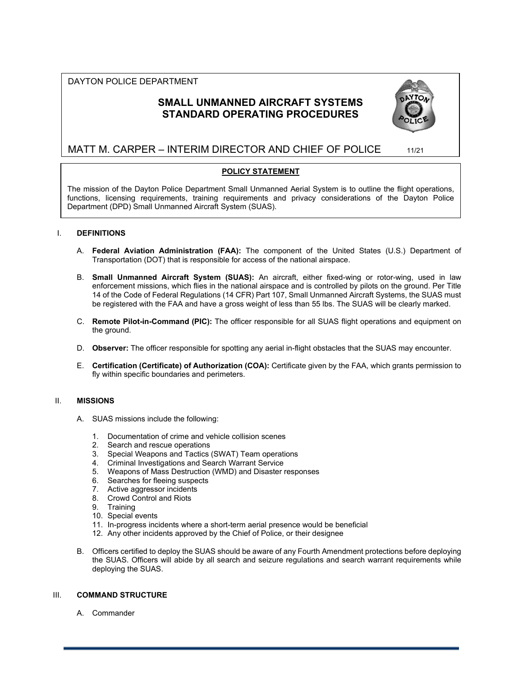# DAYTON POLICE DEPARTMENT

# **SMALL UNMANNED AIRCRAFT SYSTEMS STANDARD OPERATING PROCEDURES**



# MATT M. CARPER – INTERIM DIRECTOR AND CHIEF OF POLICE 11/21

# **POLICY STATEMENT**

The mission of the Dayton Police Department Small Unmanned Aerial System is to outline the flight operations, functions, licensing requirements, training requirements and privacy considerations of the Dayton Police Department (DPD) Small Unmanned Aircraft System (SUAS).

# I. **DEFINITIONS**

- A. **Federal Aviation Administration (FAA):** The component of the United States (U.S.) Department of Transportation (DOT) that is responsible for access of the national airspace.
- B. **Small Unmanned Aircraft System (SUAS):** An aircraft, either fixed-wing or rotor-wing, used in law enforcement missions, which flies in the national airspace and is controlled by pilots on the ground. Per Title 14 of the Code of Federal Regulations (14 CFR) Part 107, Small Unmanned Aircraft Systems, the SUAS must be registered with the FAA and have a gross weight of less than 55 lbs. The SUAS will be clearly marked.
- C. **Remote Pilot-in-Command (PIC):** The officer responsible for all SUAS flight operations and equipment on the ground.
- D. **Observer:** The officer responsible for spotting any aerial in-flight obstacles that the SUAS may encounter.
- E. **Certification (Certificate) of Authorization (COA):** Certificate given by the FAA, which grants permission to fly within specific boundaries and perimeters.

# II. **MISSIONS**

- A. SUAS missions include the following:
	- 1. Documentation of crime and vehicle collision scenes
	- 2. Search and rescue operations
	- 3. Special Weapons and Tactics (SWAT) Team operations
	- 4. Criminal Investigations and Search Warrant Service
	- 5. Weapons of Mass Destruction (WMD) and Disaster responses
	- 6. Searches for fleeing suspects
	- 7. Active aggressor incidents
	- 8. Crowd Control and Riots
	- 9. Training
	- 10. Special events
	- 11. In-progress incidents where a short-term aerial presence would be beneficial
	- 12. Any other incidents approved by the Chief of Police, or their designee
- B. Officers certified to deploy the SUAS should be aware of any Fourth Amendment protections before deploying the SUAS. Officers will abide by all search and seizure regulations and search warrant requirements while deploying the SUAS.

# III. **COMMAND STRUCTURE**

A. Commander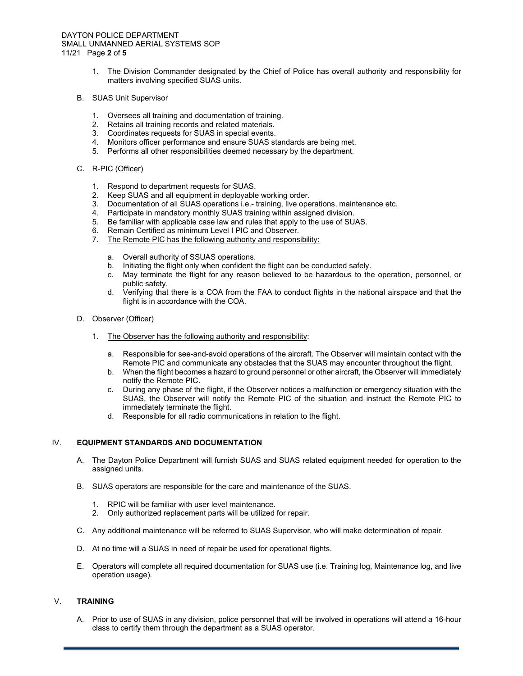#### DAYTON POLICE DEPARTMENT SMALL UNMANNED AERIAL SYSTEMS SOP 11/21 Page **2** of **5**

- 1. The Division Commander designated by the Chief of Police has overall authority and responsibility for matters involving specified SUAS units.
- B. SUAS Unit Supervisor
	- 1. Oversees all training and documentation of training.
	- 2. Retains all training records and related materials.
	- 3. Coordinates requests for SUAS in special events.
	- 4. Monitors officer performance and ensure SUAS standards are being met.
	- 5. Performs all other responsibilities deemed necessary by the department.
- C. R-PIC (Officer)
	- 1. Respond to department requests for SUAS.
	- 2. Keep SUAS and all equipment in deployable working order.
	- 3. Documentation of all SUAS operations i.e.- training, live operations, maintenance etc.
	- 4. Participate in mandatory monthly SUAS training within assigned division.
	- 5. Be familiar with applicable case law and rules that apply to the use of SUAS.
	- 6. Remain Certified as minimum Level I PIC and Observer.
	- 7. The Remote PIC has the following authority and responsibility:
		- a. Overall authority of SSUAS operations.<br>b. Initiating the flight only when confident t<br>c. May terminate the flight for any reasor
		- Initiating the flight only when confident the flight can be conducted safely.
		- May terminate the flight for any reason believed to be hazardous to the operation, personnel, or public safety.
		- d. Verifying that there is a COA from the FAA to conduct flights in the national airspace and that the flight is in accordance with the COA.
- D. Observer (Officer)
	- 1. The Observer has the following authority and responsibility:
		- a. Responsible for see-and-avoid operations of the aircraft. The Observer will maintain contact with the Remote PIC and communicate any obstacles that the SUAS may encounter throughout the flight.
		- b. When the flight becomes a hazard to ground personnel or other aircraft, the Observer will immediately notify the Remote PIC.
		- c. During any phase of the flight, if the Observer notices a malfunction or emergency situation with the SUAS, the Observer will notify the Remote PIC of the situation and instruct the Remote PIC to immediately terminate the flight.
		- d. Responsible for all radio communications in relation to the flight.

## IV. **EQUIPMENT STANDARDS AND DOCUMENTATION**

- A. The Dayton Police Department will furnish SUAS and SUAS related equipment needed for operation to the assigned units.
- B. SUAS operators are responsible for the care and maintenance of the SUAS.
	- 1. RPIC will be familiar with user level maintenance.
	- 2. Only authorized replacement parts will be utilized for repair.
- C. Any additional maintenance will be referred to SUAS Supervisor, who will make determination of repair.
- D. At no time will a SUAS in need of repair be used for operational flights.
- E. Operators will complete all required documentation for SUAS use (i.e. Training log, Maintenance log, and live operation usage).

## V. **TRAINING**

A. Prior to use of SUAS in any division, police personnel that will be involved in operations will attend a 16-hour class to certify them through the department as a SUAS operator.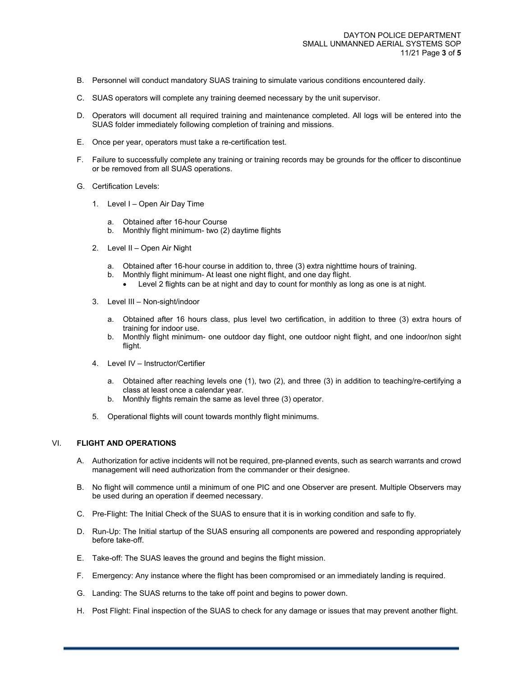- B. Personnel will conduct mandatory SUAS training to simulate various conditions encountered daily.
- C. SUAS operators will complete any training deemed necessary by the unit supervisor.
- D. Operators will document all required training and maintenance completed. All logs will be entered into the SUAS folder immediately following completion of training and missions.
- E. Once per year, operators must take a re-certification test.
- F. Failure to successfully complete any training or training records may be grounds for the officer to discontinue or be removed from all SUAS operations.
- G. Certification Levels:
	- 1. Level I Open Air Day Time
		- a. Obtained after 16-hour Course
		- b. Monthly flight minimum- two (2) daytime flights
	- 2. Level II Open Air Night
		- a. Obtained after 16-hour course in addition to, three (3) extra nighttime hours of training.
		- b. Monthly flight minimum- At least one night flight, and one day flight.
			- Level 2 flights can be at night and day to count for monthly as long as one is at night.
	- 3. Level III Non-sight/indoor
		- a. Obtained after 16 hours class, plus level two certification, in addition to three (3) extra hours of training for indoor use.
		- b. Monthly flight minimum- one outdoor day flight, one outdoor night flight, and one indoor/non sight flight.
	- 4. Level IV Instructor/Certifier
		- a. Obtained after reaching levels one (1), two (2), and three (3) in addition to teaching/re-certifying a class at least once a calendar year.
		- b. Monthly flights remain the same as level three (3) operator.
	- 5. Operational flights will count towards monthly flight minimums.

#### VI. **FLIGHT AND OPERATIONS**

- A. Authorization for active incidents will not be required, pre-planned events, such as search warrants and crowd management will need authorization from the commander or their designee.
- B. No flight will commence until a minimum of one PIC and one Observer are present. Multiple Observers may be used during an operation if deemed necessary.
- C. Pre-Flight: The Initial Check of the SUAS to ensure that it is in working condition and safe to fly.
- D. Run-Up: The Initial startup of the SUAS ensuring all components are powered and responding appropriately before take-off.
- E. Take-off: The SUAS leaves the ground and begins the flight mission.
- F. Emergency: Any instance where the flight has been compromised or an immediately landing is required.
- G. Landing: The SUAS returns to the take off point and begins to power down.
- H. Post Flight: Final inspection of the SUAS to check for any damage or issues that may prevent another flight.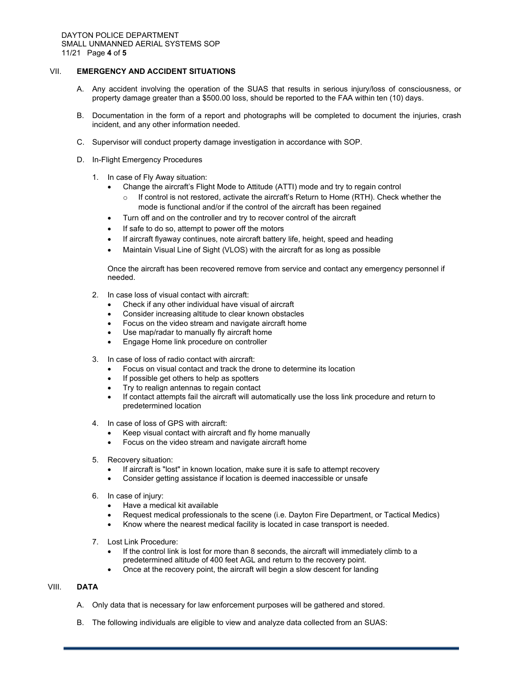## VII. **EMERGENCY AND ACCIDENT SITUATIONS**

- A. Any accident involving the operation of the SUAS that results in serious injury/loss of consciousness, or property damage greater than a \$500.00 loss, should be reported to the FAA within ten (10) days.
- B. Documentation in the form of a report and photographs will be completed to document the injuries, crash incident, and any other information needed.
- C. Supervisor will conduct property damage investigation in accordance with SOP.
- D. In-Flight Emergency Procedures
	- 1. In case of Fly Away situation:
		- Change the aircraft's Flight Mode to Attitude (ATTI) mode and try to regain control
			- o If control is not restored, activate the aircraft's Return to Home (RTH). Check whether the mode is functional and/or if the control of the aircraft has been regained
		- Turn off and on the controller and try to recover control of the aircraft
		- If safe to do so, attempt to power off the motors
		- If aircraft flyaway continues, note aircraft battery life, height, speed and heading
		- Maintain Visual Line of Sight (VLOS) with the aircraft for as long as possible

Once the aircraft has been recovered remove from service and contact any emergency personnel if needed.

- 2. In case loss of visual contact with aircraft:
	- Check if any other individual have visual of aircraft
	- Consider increasing altitude to clear known obstacles
	- Focus on the video stream and navigate aircraft home
	- Use map/radar to manually fly aircraft home
	- Engage Home link procedure on controller
- 3. In case of loss of radio contact with aircraft:
	- Focus on visual contact and track the drone to determine its location
	- If possible get others to help as spotters
	- Try to realign antennas to regain contact
	- If contact attempts fail the aircraft will automatically use the loss link procedure and return to predetermined location
- 4. In case of loss of GPS with aircraft:
	- Keep visual contact with aircraft and fly home manually
	- Focus on the video stream and navigate aircraft home
- 5. Recovery situation:
	- If aircraft is "lost" in known location, make sure it is safe to attempt recovery
	- Consider getting assistance if location is deemed inaccessible or unsafe
- 6. In case of injury:
	- Have a medical kit available
	- Request medical professionals to the scene (i.e. Dayton Fire Department, or Tactical Medics)
	- Know where the nearest medical facility is located in case transport is needed.
- 7. Lost Link Procedure:
	- If the control link is lost for more than 8 seconds, the aircraft will immediately climb to a predetermined altitude of 400 feet AGL and return to the recovery point.
	- Once at the recovery point, the aircraft will begin a slow descent for landing

## VIII. **DATA**

- A. Only data that is necessary for law enforcement purposes will be gathered and stored.
- B. The following individuals are eligible to view and analyze data collected from an SUAS: